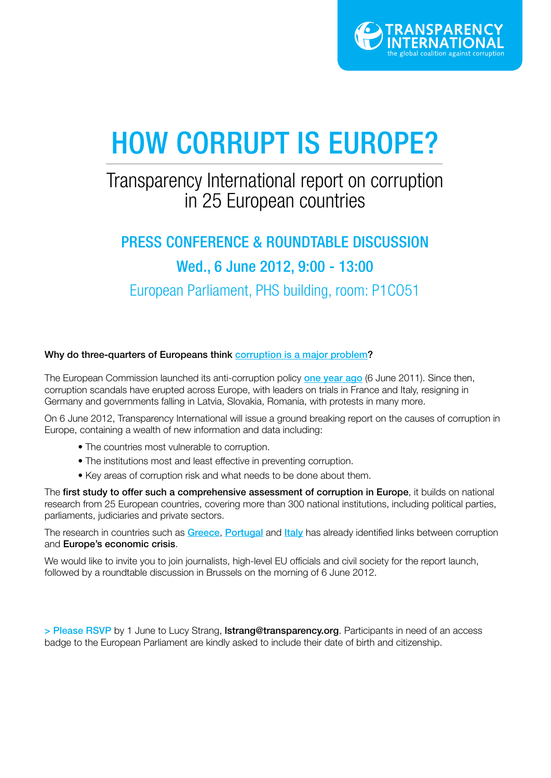

# HOW CORRUPT IS EUROPE?

## Transparency International report on corruption in 25 European countries

## PRESS CONFERENCE & ROUNDTABLE DISCUSSION Wed., 6 June 2012, 9:00 - 13:00

European Parliament, PHS building, room: P1CO51

#### Why do three-quarters of Europeans think corruption is a major problem?

The European Commission launched its anti-corruption policy one year ago (6 June 2011). Since then, corruption scandals have erupted across Europe, with leaders on trials in France and Italy, resigning in Germany and governments falling in Latvia, Slovakia, Romania, with protests in many more.

On 6 June 2012, Transparency International will issue a ground breaking report on the causes of corruption in Europe, containing a wealth of new information and data including:

- The countries most vulnerable to corruption.
- The institutions most and least effective in preventing corruption.
- Key areas of corruption risk and what needs to be done about them.

The first study to offer such a comprehensive assessment of corruption in Europe, it builds on national research from 25 European countries, covering more than 300 national institutions, including political parties, parliaments, judiciaries and private sectors.

The research in countries such as Greece, Portugal and Italy has already identified links between corruption and Europe's economic crisis.

We would like to invite you to join journalists, high-level EU officials and civil society for the report launch, followed by a roundtable discussion in Brussels on the morning of 6 June 2012.

> Please RSVP by 1 June to Lucy Strang, Istrang@transparency.org. Participants in need of an access badge to the European Parliament are kindly asked to include their date of birth and citizenship.